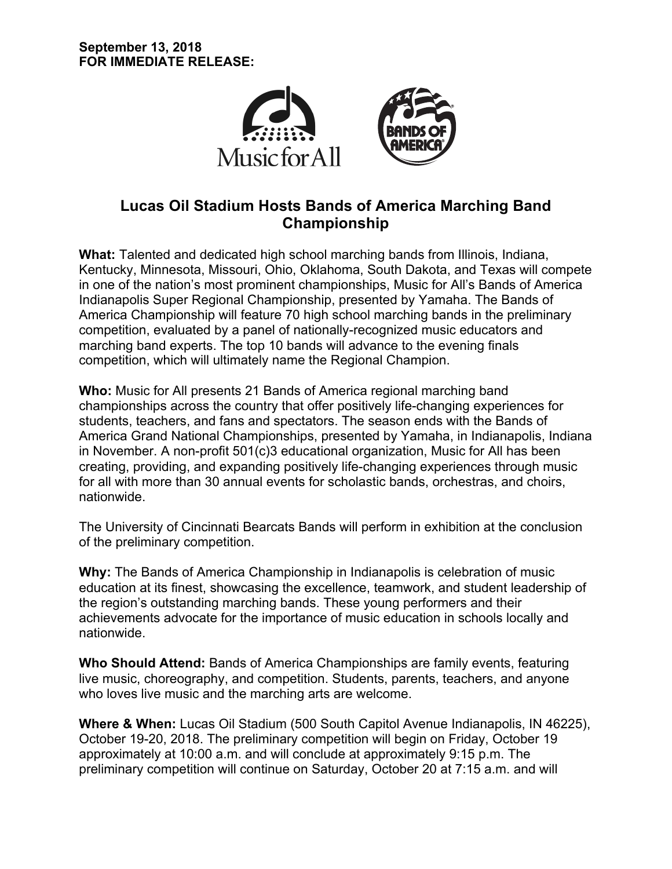

# **Lucas Oil Stadium Hosts Bands of America Marching Band Championship**

**What:** Talented and dedicated high school marching bands from Illinois, Indiana, Kentucky, Minnesota, Missouri, Ohio, Oklahoma, South Dakota, and Texas will compete in one of the nation's most prominent championships, Music for All's Bands of America Indianapolis Super Regional Championship, presented by Yamaha. The Bands of America Championship will feature 70 high school marching bands in the preliminary competition, evaluated by a panel of nationally-recognized music educators and marching band experts. The top 10 bands will advance to the evening finals competition, which will ultimately name the Regional Champion.

**Who:** Music for All presents 21 Bands of America regional marching band championships across the country that offer positively life-changing experiences for students, teachers, and fans and spectators. The season ends with the Bands of America Grand National Championships, presented by Yamaha, in Indianapolis, Indiana in November. A non-profit 501(c)3 educational organization, Music for All has been creating, providing, and expanding positively life-changing experiences through music for all with more than 30 annual events for scholastic bands, orchestras, and choirs, nationwide.

The University of Cincinnati Bearcats Bands will perform in exhibition at the conclusion of the preliminary competition.

**Why:** The Bands of America Championship in Indianapolis is celebration of music education at its finest, showcasing the excellence, teamwork, and student leadership of the region's outstanding marching bands. These young performers and their achievements advocate for the importance of music education in schools locally and nationwide.

**Who Should Attend:** Bands of America Championships are family events, featuring live music, choreography, and competition. Students, parents, teachers, and anyone who loves live music and the marching arts are welcome.

**Where & When:** Lucas Oil Stadium (500 South Capitol Avenue Indianapolis, IN 46225), October 19-20, 2018. The preliminary competition will begin on Friday, October 19 approximately at 10:00 a.m. and will conclude at approximately 9:15 p.m. The preliminary competition will continue on Saturday, October 20 at 7:15 a.m. and will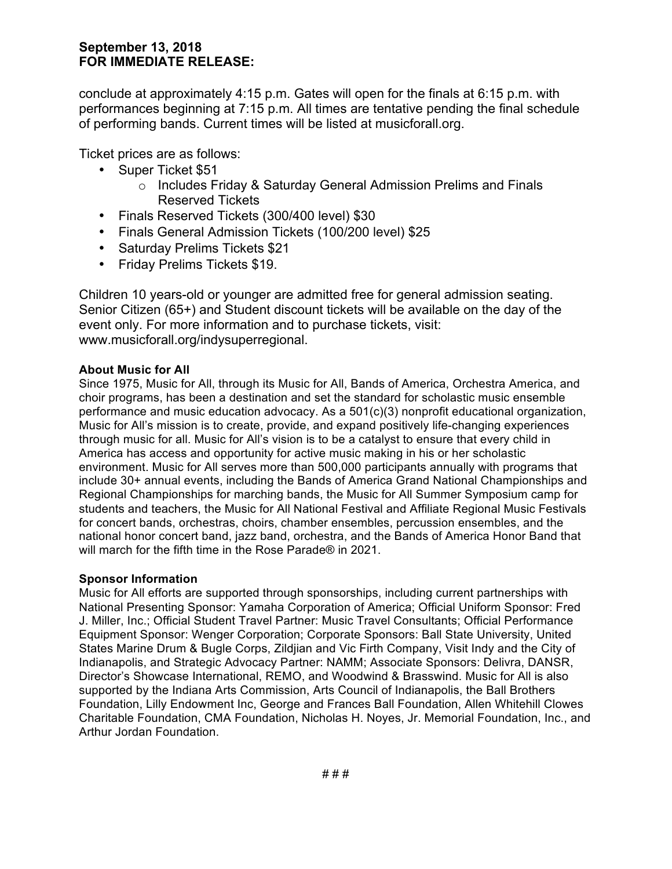## **September 13, 2018 FOR IMMEDIATE RELEASE:**

conclude at approximately 4:15 p.m. Gates will open for the finals at 6:15 p.m. with performances beginning at 7:15 p.m. All times are tentative pending the final schedule of performing bands. Current times will be listed at musicforall.org.

Ticket prices are as follows:

- Super Ticket \$51
	- o Includes Friday & Saturday General Admission Prelims and Finals Reserved Tickets
- Finals Reserved Tickets (300/400 level) \$30
- Finals General Admission Tickets (100/200 level) \$25
- Saturday Prelims Tickets \$21
- Friday Prelims Tickets \$19.

Children 10 years-old or younger are admitted free for general admission seating. Senior Citizen (65+) and Student discount tickets will be available on the day of the event only. For more information and to purchase tickets, visit: www.musicforall.org/indysuperregional.

#### **About Music for All**

Since 1975, Music for All, through its Music for All, Bands of America, Orchestra America, and choir programs, has been a destination and set the standard for scholastic music ensemble performance and music education advocacy. As a 501(c)(3) nonprofit educational organization, Music for All's mission is to create, provide, and expand positively life-changing experiences through music for all. Music for All's vision is to be a catalyst to ensure that every child in America has access and opportunity for active music making in his or her scholastic environment. Music for All serves more than 500,000 participants annually with programs that include 30+ annual events, including the Bands of America Grand National Championships and Regional Championships for marching bands, the Music for All Summer Symposium camp for students and teachers, the Music for All National Festival and Affiliate Regional Music Festivals for concert bands, orchestras, choirs, chamber ensembles, percussion ensembles, and the national honor concert band, jazz band, orchestra, and the Bands of America Honor Band that will march for the fifth time in the Rose Parade® in 2021.

#### **Sponsor Information**

Music for All efforts are supported through sponsorships, including current partnerships with National Presenting Sponsor: Yamaha Corporation of America; Official Uniform Sponsor: Fred J. Miller, Inc.; Official Student Travel Partner: Music Travel Consultants; Official Performance Equipment Sponsor: Wenger Corporation; Corporate Sponsors: Ball State University, United States Marine Drum & Bugle Corps, Zildjian and Vic Firth Company, Visit Indy and the City of Indianapolis, and Strategic Advocacy Partner: NAMM; Associate Sponsors: Delivra, DANSR, Director's Showcase International, REMO, and Woodwind & Brasswind. Music for All is also supported by the Indiana Arts Commission, Arts Council of Indianapolis, the Ball Brothers Foundation, Lilly Endowment Inc, George and Frances Ball Foundation, Allen Whitehill Clowes Charitable Foundation, CMA Foundation, Nicholas H. Noyes, Jr. Memorial Foundation, Inc., and Arthur Jordan Foundation.